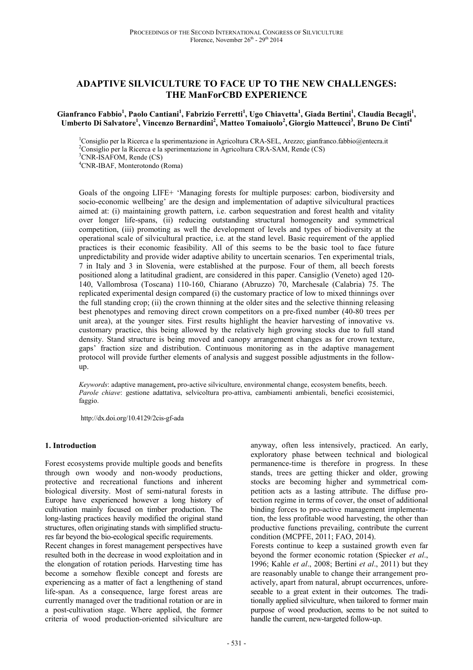# **ADAPTIVE SILVICULTURE TO FACE UP TO THE NEW CHALLENGES: THE ManForCBD EXPERIENCE**

### **Gianfranco Fabbio<sup>1</sup> , Paolo Cantiani<sup>1</sup> , Fabrizio Ferretti<sup>1</sup> , Ugo Chiavetta<sup>1</sup> , Giada Bertini<sup>1</sup> , Claudia Becagli<sup>1</sup> , Umberto Di Salvatore<sup>1</sup> , Vincenzo Bernardini<sup>2</sup> , Matteo Tomaiuolo<sup>2</sup> , Giorgio Matteucci<sup>3</sup> , Bruno De Cinti<sup>4</sup>**

<sup>1</sup>Consiglio per la Ricerca e la sperimentazione in Agricoltura CRA-SEL, Arezzo; gianfranco.fabbio@entecra.it <sup>2</sup>Consiglio per la Ricerca e la sperimentazione in Agricoltura CRA-SAM, Rende (CS) <sup>3</sup>CNR-ISAFOM, Rende (CS)

<sup>4</sup>CNR-IBAF, Monterotondo (Roma)

Goals of the ongoing LIFE+ 'Managing forests for multiple purposes: carbon, biodiversity and socio-economic wellbeing' are the design and implementation of adaptive silvicultural practices aimed at: (i) maintaining growth pattern, i.e. carbon sequestration and forest health and vitality over longer life-spans, (ii) reducing outstanding structural homogeneity and symmetrical competition, (iii) promoting as well the development of levels and types of biodiversity at the operational scale of silvicultural practice, i.e. at the stand level. Basic requirement of the applied practices is their economic feasibility. All of this seems to be the basic tool to face future unpredictability and provide wider adaptive ability to uncertain scenarios. Ten experimental trials, 7 in Italy and 3 in Slovenia, were established at the purpose. Four of them, all beech forests positioned along a latitudinal gradient, are considered in this paper. Cansiglio (Veneto) aged 120- 140, Vallombrosa (Toscana) 110-160, Chiarano (Abruzzo) 70, Marchesale (Calabria) 75. The replicated experimental design compared (i) the customary practice of low to mixed thinnings over the full standing crop; (ii) the crown thinning at the older sites and the selective thinning releasing best phenotypes and removing direct crown competitors on a pre-fixed number (40-80 trees per unit area), at the younger sites. First results highlight the heavier harvesting of innovative vs. customary practice, this being allowed by the relatively high growing stocks due to full stand density. Stand structure is being moved and canopy arrangement changes as for crown texture, gaps' fraction size and distribution. Continuous monitoring as in the adaptive management protocol will provide further elements of analysis and suggest possible adjustments in the followup.

*Keywords*: adaptive management**,** pro-active silviculture, environmental change, ecosystem benefits, beech. *Parole chiave*: gestione adattativa, selvicoltura pro-attiva, cambiamenti ambientali, benefici ecosistemici, faggio.

http://dx.doi.org/10.4129/2cis-gf-ada

### **1. Introduction**

Forest ecosystems provide multiple goods and benefits through own woody and non-woody productions, protective and recreational functions and inherent biological diversity. Most of semi-natural forests in Europe have experienced however a long history of cultivation mainly focused on timber production. The long-lasting practices heavily modified the original stand structures, often originating stands with simplified structures far beyond the bio-ecological specific requirements.

Recent changes in forest management perspectives have resulted both in the decrease in wood exploitation and in the elongation of rotation periods. Harvesting time has become a somehow flexible concept and forests are experiencing as a matter of fact a lengthening of stand life-span. As a consequence, large forest areas are currently managed over the traditional rotation or are in a post-cultivation stage. Where applied, the former criteria of wood production-oriented silviculture are

anyway, often less intensively, practiced. An early, exploratory phase between technical and biological permanence-time is therefore in progress. In these stands, trees are getting thicker and older, growing stocks are becoming higher and symmetrical competition acts as a lasting attribute. The diffuse protection regime in terms of cover, the onset of additional binding forces to pro-active management implementation, the less profitable wood harvesting, the other than productive functions prevailing, contribute the current condition (MCPFE, 2011; FAO, 2014).

Forests continue to keep a sustained growth even far beyond the former economic rotation (Spiecker *et al*., 1996; Kahle *et al*., 2008; Bertini *et al*., 2011) but they are reasonably unable to change their arrangement proactively, apart from natural, abrupt occurrences, unforeseeable to a great extent in their outcomes. The traditionally applied silviculture, when tailored to former main purpose of wood production, seems to be not suited to handle the current, new-targeted follow-up.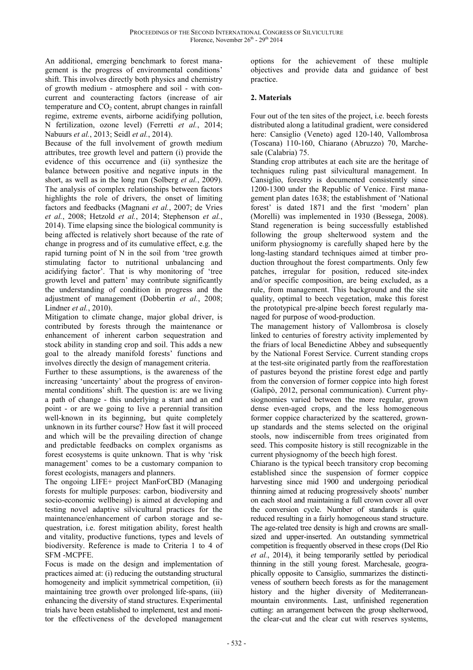An additional, emerging benchmark to forest management is the progress of environmental conditions' shift. This involves directly both physics and chemistry of growth medium - atmosphere and soil - with concurrent and counteracting factors (increase of air temperature and  $CO<sub>2</sub>$  content, abrupt changes in rainfall regime, extreme events, airborne acidifying pollution, N fertilization, ozone level) (Ferretti *et al.*, 2014; Nabuurs *et al.*, 2013; Seidl *et al.*, 2014).

Because of the full involvement of growth medium attributes, tree growth level and pattern (i) provide the evidence of this occurrence and (ii) synthesize the balance between positive and negative inputs in the short, as well as in the long run (Solberg *et al.*, 2009). The analysis of complex relationships between factors highlights the role of drivers, the onset of limiting factors and feedbacks (Magnani *et al.*, 2007; de Vries *et al.*, 2008; Hetzold *et al.*, 2014; Stephenson *et al.*, 2014). Time elapsing since the biological community is being affected is relatively short because of the rate of change in progress and of its cumulative effect, e.g. the rapid turning point of N in the soil from 'tree growth stimulating factor to nutritional unbalancing and acidifying factor'. That is why monitoring of 'tree growth level and pattern' may contribute significantly the understanding of condition in progress and the adjustment of management (Dobbertin *et al.*, 2008; Lindner *et al.*, 2010).

Mitigation to climate change, major global driver, is contributed by forests through the maintenance or enhancement of inherent carbon sequestration and stock ability in standing crop and soil. This adds a new goal to the already manifold forests' functions and involves directly the design of management criteria.

Further to these assumptions, is the awareness of the increasing 'uncertainty' about the progress of environmental conditions' shift. The question is: are we living a path of change - this underlying a start and an end point - or are we going to live a perennial transition well-known in its beginning, but quite completely unknown in its further course? How fast it will proceed and which will be the prevailing direction of change and predictable feedbacks on complex organisms as forest ecosystems is quite unknown. That is why 'risk management' comes to be a customary companion to forest ecologists, managers and planners.

The ongoing LIFE+ project ManForCBD (Managing forests for multiple purposes: carbon, biodiversity and socio-economic wellbeing) is aimed at developing and testing novel adaptive silvicultural practices for the maintenance/enhancement of carbon storage and sequestration, i.e. forest mitigation ability, forest health and vitality, productive functions, types and levels of biodiversity. Reference is made to Criteria 1 to 4 of SFM -MCPFE.

Focus is made on the design and implementation of practices aimed at: (i) reducing the outstanding structural homogeneity and implicit symmetrical competition, (ii) maintaining tree growth over prolonged life-spans, (iii) enhancing the diversity of stand structures. Experimental trials have been established to implement, test and monitor the effectiveness of the developed management

options for the achievement of these multiple objectives and provide data and guidance of best practice.

# **2. Materials**

Four out of the ten sites of the project, i.e. beech forests distributed along a latitudinal gradient, were considered here: Cansiglio (Veneto) aged 120-140, Vallombrosa (Toscana) 110-160, Chiarano (Abruzzo) 70, Marchesale (Calabria) 75.

Standing crop attributes at each site are the heritage of techniques ruling past silvicultural management. In Cansiglio, forestry is documented consistently since 1200-1300 under the Republic of Venice. First management plan dates 1638; the establishment of 'National forest' is dated 1871 and the first 'modern' plan (Morelli) was implemented in 1930 (Bessega, 2008). Stand regeneration is being successfully established following the group shelterwood system and the uniform physiognomy is carefully shaped here by the long-lasting standard techniques aimed at timber production throughout the forest compartments. Only few patches, irregular for position, reduced site-index and/or specific composition, are being excluded, as a rule, from management. This background and the site quality, optimal to beech vegetation, make this forest the prototypical pre-alpine beech forest regularly managed for purpose of wood-production.

The management history of Vallombrosa is closely linked to centuries of forestry activity implemented by the friars of local Benedictine Abbey and subsequently by the National Forest Service. Current standing crops at the test-site originated partly from the reafforestation of pastures beyond the pristine forest edge and partly from the conversion of former coppice into high forest (Galipò, 2012, personal communication). Current physiognomies varied between the more regular, grown dense even-aged crops, and the less homogeneous former coppice characterized by the scattered, grownup standards and the stems selected on the original stools, now indiscernible from trees originated from seed. This composite history is still recognizable in the current physiognomy of the beech high forest.

Chiarano is the typical beech transitory crop becoming established since the suspension of former coppice harvesting since mid 1900 and undergoing periodical thinning aimed at reducing progressively shoots' number on each stool and maintaining a full crown cover all over the conversion cycle. Number of standards is quite reduced resulting in a fairly homogeneous stand structure. The age-related tree density is high and crowns are smallsized and upper-inserted. An outstanding symmetrical competition is frequently observed in these crops (Del Rio *et al.*, 2014), it being temporarily settled by periodical thinning in the still young forest. Marchesale, geographically opposite to Cansiglio, summarizes the distinctiveness of southern beech forests as for the management history and the higher diversity of Mediterraneanmountain environments. Last, unfinished regeneration cutting: an arrangement between the group shelterwood, the clear-cut and the clear cut with reserves systems,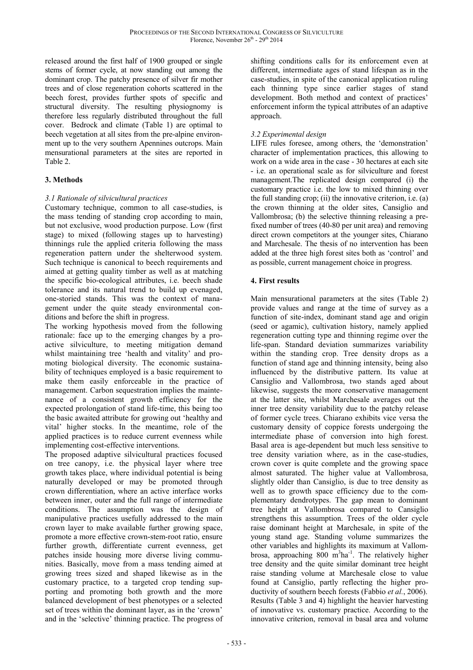released around the first half of 1900 grouped or single stems of former cycle, at now standing out among the dominant crop. The patchy presence of silver fir mother trees and of close regeneration cohorts scattered in the beech forest, provides further spots of specific and structural diversity. The resulting physiognomy is therefore less regularly distributed throughout the full cover. Bedrock and climate (Table 1) are optimal to beech vegetation at all sites from the pre-alpine environment up to the very southern Apennines outcrops. Main mensurational parameters at the sites are reported in Table 2.

# **3. Methods**

# *3.1 Rationale of silvicultural practices*

Customary technique, common to all case-studies, is the mass tending of standing crop according to main, but not exclusive, wood production purpose. Low (first stage) to mixed (following stages up to harvesting) thinnings rule the applied criteria following the mass regeneration pattern under the shelterwood system. Such technique is canonical to beech requirements and aimed at getting quality timber as well as at matching the specific bio-ecological attributes, i.e. beech shade tolerance and its natural trend to build up evenaged, one-storied stands. This was the context of management under the quite steady environmental conditions and before the shift in progress.

The working hypothesis moved from the following rationale: face up to the emerging changes by a proactive silviculture, to meeting mitigation demand whilst maintaining tree 'health and vitality' and promoting biological diversity. The economic sustainability of techniques employed is a basic requirement to make them easily enforceable in the practice of management. Carbon sequestration implies the maintenance of a consistent growth efficiency for the expected prolongation of stand life-time, this being too the basic awaited attribute for growing out 'healthy and vital' higher stocks. In the meantime, role of the applied practices is to reduce current evenness while implementing cost-effective interventions.

The proposed adaptive silvicultural practices focused on tree canopy, i.e. the physical layer where tree growth takes place, where individual potential is being naturally developed or may be promoted through crown differentiation, where an active interface works between inner, outer and the full range of intermediate conditions. The assumption was the design of manipulative practices usefully addressed to the main crown layer to make available further growing space, promote a more effective crown-stem-root ratio, ensure further growth, differentiate current evenness, get patches inside housing more diverse living communities. Basically, move from a mass tending aimed at growing trees sized and shaped likewise as in the customary practice, to a targeted crop tending supporting and promoting both growth and the more balanced development of best phenotypes or a selected set of trees within the dominant layer, as in the 'crown' and in the 'selective' thinning practice. The progress of shifting conditions calls for its enforcement even at different, intermediate ages of stand lifespan as in the case-studies, in spite of the canonical application ruling each thinning type since earlier stages of stand development. Both method and context of practices' enforcement inform the typical attributes of an adaptive approach.

## *3.2 Experimental design*

LIFE rules foresee, among others, the 'demonstration' character of implementation practices, this allowing to work on a wide area in the case - 30 hectares at each site - i.e. an operational scale as for silviculture and forest management.The replicated design compared (i) the customary practice i.e. the low to mixed thinning over the full standing crop; (ii) the innovative criterion, i.e. (a) the crown thinning at the older sites, Cansiglio and Vallombrosa; (b) the selective thinning releasing a prefixed number of trees (40-80 per unit area) and removing direct crown competitors at the younger sites, Chiarano and Marchesale. The thesis of no intervention has been added at the three high forest sites both as 'control' and as possible, current management choice in progress.

### **4. First results**

Main mensurational parameters at the sites (Table 2) provide values and range at the time of survey as a function of site-index, dominant stand age and origin (seed or agamic), cultivation history, namely applied regeneration cutting type and thinning regime over the life-span. Standard deviation summarizes variability within the standing crop. Tree density drops as a function of stand age and thinning intensity, being also influenced by the distributive pattern. Its value at Cansiglio and Vallombrosa, two stands aged about likewise, suggests the more conservative management at the latter site, whilst Marchesale averages out the inner tree density variability due to the patchy release of former cycle trees. Chiarano exhibits vice versa the customary density of coppice forests undergoing the intermediate phase of conversion into high forest. Basal area is age-dependent but much less sensitive to tree density variation where, as in the case-studies, crown cover is quite complete and the growing space almost saturated. The higher value at Vallombrosa, slightly older than Cansiglio, is due to tree density as well as to growth space efficiency due to the complementary dendrotypes. The gap mean to dominant tree height at Vallombrosa compared to Cansiglio strengthens this assumption. Trees of the older cycle raise dominant height at Marchesale, in spite of the young stand age. Standing volume summarizes the other variables and highlights its maximum at Vallombrosa, approaching  $800 \text{ m}^3$ ha<sup>-1</sup>. The relatively higher tree density and the quite similar dominant tree height raise standing volume at Marchesale close to value found at Cansiglio, partly reflecting the higher productivity of southern beech forests (Fabbio *et al.*, 2006). Results (Table 3 and 4) highlight the heavier harvesting of innovative vs. customary practice. According to the innovative criterion, removal in basal area and volume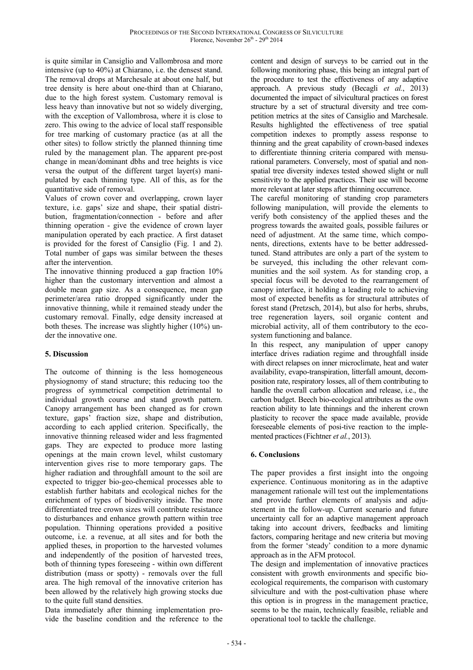is quite similar in Cansiglio and Vallombrosa and more intensive (up to 40%) at Chiarano, i.e. the densest stand. The removal drops at Marchesale at about one half, but tree density is here about one-third than at Chiarano, due to the high forest system. Customary removal is less heavy than innovative but not so widely diverging, with the exception of Vallombrosa, where it is close to zero. This owing to the advice of local staff responsible for tree marking of customary practice (as at all the other sites) to follow strictly the planned thinning time ruled by the management plan. The apparent pre-post change in mean/dominant dbhs and tree heights is vice versa the output of the different target layer(s) manipulated by each thinning type. All of this, as for the quantitative side of removal.

Values of crown cover and overlapping, crown layer texture, i.e. gaps' size and shape, their spatial distribution, fragmentation/connection - before and after thinning operation - give the evidence of crown layer manipulation operated by each practice. A first dataset is provided for the forest of Cansiglio (Fig. 1 and 2). Total number of gaps was similar between the theses after the intervention.

The innovative thinning produced a gap fraction 10% higher than the customary intervention and almost a double mean gap size. As a consequence, mean gap perimeter/area ratio dropped significantly under the innovative thinning, while it remained steady under the customary removal. Finally, edge density increased at both theses. The increase was slightly higher (10%) under the innovative one.

### **5. Discussion**

The outcome of thinning is the less homogeneous physiognomy of stand structure; this reducing too the progress of symmetrical competition detrimental to individual growth course and stand growth pattern. Canopy arrangement has been changed as for crown texture, gaps' fraction size, shape and distribution, according to each applied criterion. Specifically, the innovative thinning released wider and less fragmented gaps. They are expected to produce more lasting openings at the main crown level, whilst customary intervention gives rise to more temporary gaps. The higher radiation and throughfall amount to the soil are expected to trigger bio-geo-chemical processes able to establish further habitats and ecological niches for the enrichment of types of biodiversity inside. The more differentiated tree crown sizes will contribute resistance to disturbances and enhance growth pattern within tree population. Thinning operations provided a positive outcome, i.e. a revenue, at all sites and for both the applied theses, in proportion to the harvested volumes and independently of the position of harvested trees, both of thinning types foreseeing - within own different distribution (mass or spotty) - removals over the full area. The high removal of the innovative criterion has been allowed by the relatively high growing stocks due to the quite full stand densities.

Data immediately after thinning implementation provide the baseline condition and the reference to the content and design of surveys to be carried out in the following monitoring phase, this being an integral part of the procedure to test the effectiveness of any adaptive approach. A previous study (Becagli *et al.*, 2013) documented the impact of silvicultural practices on forest structure by a set of structural diversity and tree competition metrics at the sites of Cansiglio and Marchesale. Results highlighted the effectiveness of tree spatial competition indexes to promptly assess response to thinning and the great capability of crown-based indexes to differentiate thinning criteria compared with mensurational parameters. Conversely, most of spatial and nonspatial tree diversity indexes tested showed slight or null sensitivity to the applied practices. Their use will become more relevant at later steps after thinning occurrence.

The careful monitoring of standing crop parameters following manipulation, will provide the elements to verify both consistency of the applied theses and the progress towards the awaited goals, possible failures or need of adjustment. At the same time, which components, directions, extents have to be better addressedtuned. Stand attributes are only a part of the system to be surveyed, this including the other relevant communities and the soil system. As for standing crop, a special focus will be devoted to the rearrangement of canopy interface, it holding a leading role to achieving most of expected benefits as for structural attributes of forest stand (Pretzsch, 2014), but also for herbs, shrubs, tree regeneration layers, soil organic content and microbial activity, all of them contributory to the ecosystem functioning and balance.

In this respect, any manipulation of upper canopy interface drives radiation regime and throughfall inside with direct relapses on inner microclimate, heat and water availability, evapo-transpiration, litterfall amount, decomposition rate, respiratory losses, all of them contributing to handle the overall carbon allocation and release, i.e., the carbon budget. Beech bio-ecological attributes as the own reaction ability to late thinnings and the inherent crown plasticity to recover the space made available, provide foreseeable elements of posi-tive reaction to the implemented practices (Fichtner *et al.*, 2013).

# **6. Conclusions**

The paper provides a first insight into the ongoing experience. Continuous monitoring as in the adaptive management rationale will test out the implementations and provide further elements of analysis and adjustement in the follow-up. Current scenario and future uncertainty call for an adaptive management approach taking into account drivers, feedbacks and limiting factors, comparing heritage and new criteria but moving from the former 'steady' condition to a more dynamic approach as in the AFM protocol.

The design and implementation of innovative practices consistent with growth environments and specific bioecological requirements, the comparison with customary silviculture and with the post-cultivation phase where this option is in progress in the management practice, seems to be the main, technically feasible, reliable and operational tool to tackle the challenge.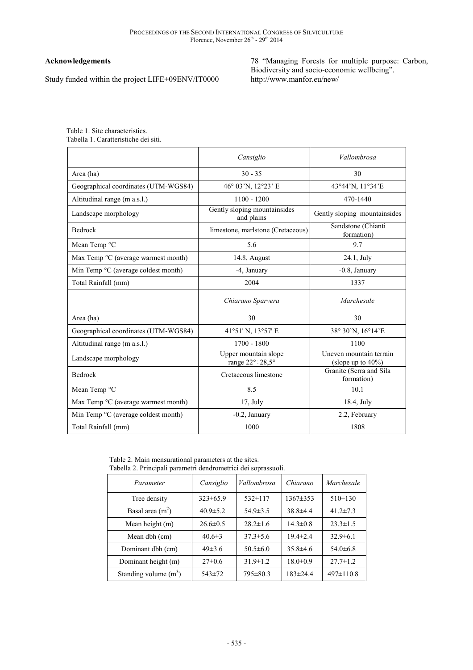# **Acknowledgements**

Study funded within the project LIFE+09ENV/IT0000

78 "Managing Forests for multiple purpose: Carbon, Biodiversity and socio-economic wellbeing". http://www.manfor.eu/new/

Table 1. Site characteristics. Tabella 1. Caratteristiche dei siti.

|                                                       | Cansiglio                                  | Vallombrosa                                      |  |
|-------------------------------------------------------|--------------------------------------------|--------------------------------------------------|--|
| Area (ha)                                             | $30 - 35$                                  | 30                                               |  |
| Geographical coordinates (UTM-WGS84)                  | 46° 03'N, 12°23' E                         | 43°44'N, 11°34'E                                 |  |
| Altitudinal range (m a.s.l.)                          | $1100 - 1200$                              | 470-1440                                         |  |
| Landscape morphology                                  | Gently sloping mountainsides<br>and plains | Gently sloping mountainsides                     |  |
| <b>Bedrock</b>                                        | limestone, marlstone (Cretaceous)          | Sandstone (Chianti<br>formation)                 |  |
| Mean Temp °C                                          | 5.6                                        | 9.7                                              |  |
| Max Temp °C (average warmest month)                   | 14.8, August                               | 24.1, July                                       |  |
| Min Temp $\mathrm{^{\circ}C}$ (average coldest month) | -4, January                                | -0.8, January                                    |  |
| Total Rainfall (mm)                                   | 2004                                       | 1337                                             |  |
|                                                       | Chiarano Sparvera                          | Marchesale                                       |  |
| Area (ha)                                             | 30                                         | 30                                               |  |
| Geographical coordinates (UTM-WGS84)                  | 41°51' N, 13°57' E                         | 38° 30'N, 16°14'E                                |  |
| Altitudinal range (m a.s.l.)                          | $1700 - 1800$                              | 1100                                             |  |
| Landscape morphology                                  | Upper mountain slope<br>range 22°÷28,5°    | Uneven mountain terrain<br>(slope up to $40\%$ ) |  |
| <b>Bedrock</b>                                        | Cretaceous limestone                       | Granite (Serra and Sila<br>formation)            |  |
| Mean Temp °C                                          | 8.5                                        | 10.1                                             |  |
| Max Temp °C (average warmest month)                   | $17,$ July                                 | 18.4, July                                       |  |
| Min Temp °C (average coldest month)                   | $-0.2$ , January                           | 2.2, February                                    |  |
| Total Rainfall (mm)                                   | 1000                                       | 1808                                             |  |

Table 2. Main mensurational parameters at the sites. Tabella 2. Principali parametri dendrometrici dei soprassuoli.

| Parameter               | Cansiglio      | Vallombrosa    | Chiarano       | Marchesale      |
|-------------------------|----------------|----------------|----------------|-----------------|
| Tree density            | $323 \pm 65.9$ | $532\pm117$    | $1367 \pm 353$ | $510\pm130$     |
| Basal area $(m^2)$      | $40.9 \pm 5.2$ | $54.9 \pm 3.5$ | $38.8 \pm 4.4$ | $41.2 \pm 7.3$  |
| Mean height (m)         | $26.6 \pm 0.5$ | $28.2 \pm 1.6$ | $14.3 \pm 0.8$ | $23.3 \pm 1.5$  |
| Mean dbh (cm)           | $40.6 \pm 3$   | $37.3 \pm 5.6$ | $19.4 \pm 2.4$ | $32.9 \pm 6.1$  |
| Dominant dbh (cm)       | $49\pm3.6$     | $50.5 \pm 6.0$ | $35.8\pm4.6$   | $54.0 \pm 6.8$  |
| Dominant height (m)     | $27 \pm 0.6$   | $31.9 \pm 1.2$ | $18.0 \pm 0.9$ | $27.7 \pm 1.2$  |
| Standing volume $(m^3)$ | $543 \pm 72$   | $795 \pm 80.3$ | $183 \pm 24.4$ | $497 \pm 110.8$ |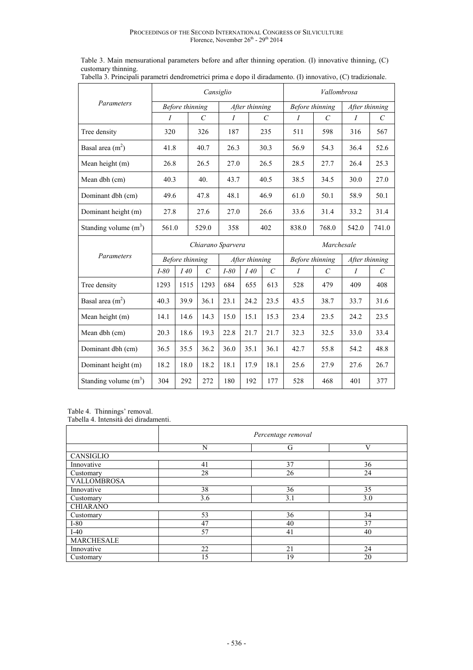|                         | Cansiglio         |                 |                         |                |                | Vallombrosa             |                  |                       |                  |                             |
|-------------------------|-------------------|-----------------|-------------------------|----------------|----------------|-------------------------|------------------|-----------------------|------------------|-----------------------------|
| Parameters              | Before thinning   |                 | After thinning          |                |                | Before thinning         |                  | After thinning        |                  |                             |
|                         | $\overline{I}$    |                 | $\mathcal{C}_{0}$       | $\overline{I}$ |                | $\mathcal{C}_{0}^{0}$   | $\overline{I}$   | $\mathcal{C}$         | $\boldsymbol{I}$ | $\mathcal{C}_{0}^{0}$       |
| Tree density            | 320               |                 | 326                     | 187            |                | 235                     | 511              | 598                   | 316              | 567                         |
| Basal area $(m2)$       | 41.8              |                 | 40.7                    | 26.3           |                | 30.3                    | 56.9             | 54.3                  | 36.4             | 52.6                        |
| Mean height (m)         | 26.8              |                 | 26.5                    | 27.0           |                | 26.5                    | 28.5             | 27.7                  | 26.4             | 25.3                        |
| Mean dbh (cm)           | 40.3              |                 | 40.                     | 43.7           |                | 40.5                    | 38.5             | 34.5                  | 30.0             | 27.0                        |
| Dominant dbh (cm)       | 49.6              |                 | 47.8                    | 48.1           |                | 46.9                    | 61.0             | 50.1                  | 58.9             | 50.1                        |
| Dominant height (m)     | 27.8              |                 | 27.6                    | 27.0           |                | 26.6                    | 33.6             | 31.4                  | 33.2             | 31.4                        |
| Standing volume $(m^3)$ | 561.0             |                 | 529.0                   | 358            |                | 402                     | 838.0            | 768.0                 | 542.0            | 741.0                       |
|                         | Chiarano Sparvera |                 |                         |                |                |                         | Marchesale       |                       |                  |                             |
|                         |                   |                 |                         |                |                |                         |                  |                       |                  |                             |
| Parameters              |                   | Before thinning |                         |                | After thinning |                         | Before thinning  |                       | After thinning   |                             |
|                         | $I-80$            | I40             | $\mathcal{C}_{0}^{(n)}$ | $I-80$         | I40            | $\mathcal{C}_{0}^{(n)}$ | $\boldsymbol{I}$ | $\mathcal{C}_{0}^{0}$ | $\boldsymbol{I}$ | $\mathcal{C}_{\mathcal{C}}$ |
| Tree density            | 1293              | 1515            | 1293                    | 684            | 655            | 613                     | 528              | 479                   | 409              | 408                         |
| Basal area $(m2)$       | 40.3              | 39.9            | 36.1                    | 23.1           | 24.2           | 23.5                    | 43.5             | 38.7                  | 33.7             | 31.6                        |
| Mean height (m)         | 14.1              | 14.6            | 14.3                    | 15.0           | 15.1           | 15.3                    | 23.4             | 23.5                  | 24.2             | 23.5                        |
| Mean dbh (cm)           | 20.3              | 18.6            | 19.3                    | 22.8           | 21.7           | 21.7                    | 32.3             | 32.5                  | 33.0             | 33.4                        |
| Dominant dbh (cm)       | 36.5              | 35.5            | 36.2                    | 36.0           | 35.1           | 36.1                    | 42.7             | 55.8                  | 54.2             | 48.8                        |
| Dominant height (m)     | 18.2              | 18.0            | 18.2                    | 18.1           | 17.9           | 18.1                    | 25.6             | 27.9                  | 27.6             | 26.7                        |

Table 3. Main mensurational parameters before and after thinning operation. (I) innovative thinning, (C) customary thinning. Tabella 3. Principali parametri dendrometrici prima e dopo il diradamento. (I) innovativo, (C) tradizionale.

Table 4. Thinnings' removal.

Tabella 4. Intensità dei diradamenti.

|                    | Percentage removal |     |     |  |  |  |
|--------------------|--------------------|-----|-----|--|--|--|
|                    | N                  | G   | V   |  |  |  |
| CANSIGLIO          |                    |     |     |  |  |  |
| Innovative         | 41                 | 37  | 36  |  |  |  |
| Customary          | 28                 | 26  | 24  |  |  |  |
| <b>VALLOMBROSA</b> |                    |     |     |  |  |  |
| Innovative         | 38                 | 36  | 35  |  |  |  |
| Customary          | 3.6                | 3.1 | 3.0 |  |  |  |
| <b>CHIARANO</b>    |                    |     |     |  |  |  |
| Customary          | 53                 | 36  | 34  |  |  |  |
| $I-80$             | 47                 | 40  | 37  |  |  |  |
| $I-40$             | 57                 | 41  | 40  |  |  |  |
| <b>MARCHESALE</b>  |                    |     |     |  |  |  |
| Innovative         | 22                 | 21  | 24  |  |  |  |
| Customary          | 15                 | 19  | 20  |  |  |  |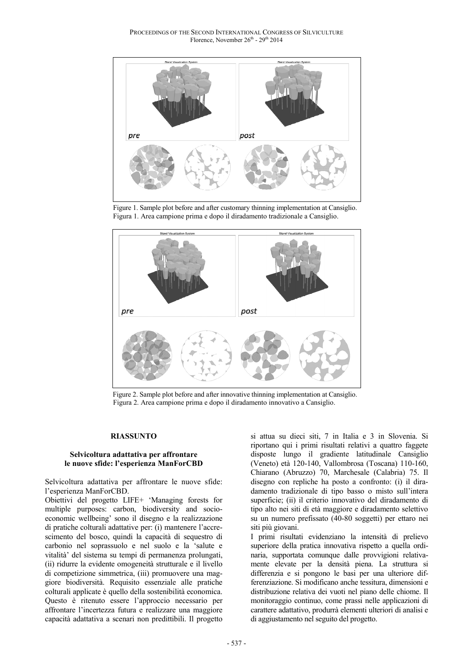

 Figure 1. Sample plot before and after customary thinning implementation at Cansiglio. Figura 1. Area campione prima e dopo il diradamento tradizionale a Cansiglio.



 Figure 2. Sample plot before and after innovative thinning implementation at Cansiglio. Figura 2. Area campione prima e dopo il diradamento innovativo a Cansiglio.

### **RIASSUNTO**

### **Selvicoltura adattativa per affrontare le nuove sfide: l'esperienza ManForCBD**

Selvicoltura adattativa per affrontare le nuove sfide: l'esperienza ManForCBD.

Obiettivi del progetto LIFE+ 'Managing forests for multiple purposes: carbon, biodiversity and socioeconomic wellbeing' sono il disegno e la realizzazione di pratiche colturali adattative per: (i) mantenere l'accrescimento del bosco, quindi la capacità di sequestro di carbonio nel soprassuolo e nel suolo e la 'salute e vitalità' del sistema su tempi di permanenza prolungati, (ii) ridurre la evidente omogeneità strutturale e il livello di competizione simmetrica, (iii) promuovere una maggiore biodiversità. Requisito essenziale alle pratiche colturali applicate è quello della sostenibilità economica. Questo è ritenuto essere l'approccio necessario per affrontare l'incertezza futura e realizzare una maggiore capacità adattativa a scenari non predittibili. Il progetto

si attua su dieci siti, 7 in Italia e 3 in Slovenia. Si riportano qui i primi risultati relativi a quattro faggete disposte lungo il gradiente latitudinale Cansiglio (Veneto) età 120-140, Vallombrosa (Toscana) 110-160, Chiarano (Abruzzo) 70, Marchesale (Calabria) 75. Il disegno con repliche ha posto a confronto: (i) il diradamento tradizionale di tipo basso o misto sull'intera superficie; (ii) il criterio innovativo del diradamento di tipo alto nei siti di età maggiore e diradamento selettivo su un numero prefissato (40-80 soggetti) per ettaro nei siti più giovani.

I primi risultati evidenziano la intensità di prelievo superiore della pratica innovativa rispetto a quella ordinaria, supportata comunque dalle provvigioni relativamente elevate per la densità piena. La struttura si differenzia e si pongono le basi per una ulteriore differenziazione. Si modificano anche tessitura, dimensioni e distribuzione relativa dei vuoti nel piano delle chiome. Il monitoraggio continuo, come prassi nelle applicazioni di carattere adattativo, produrrà elementi ulteriori di analisi e di aggiustamento nel seguito del progetto.